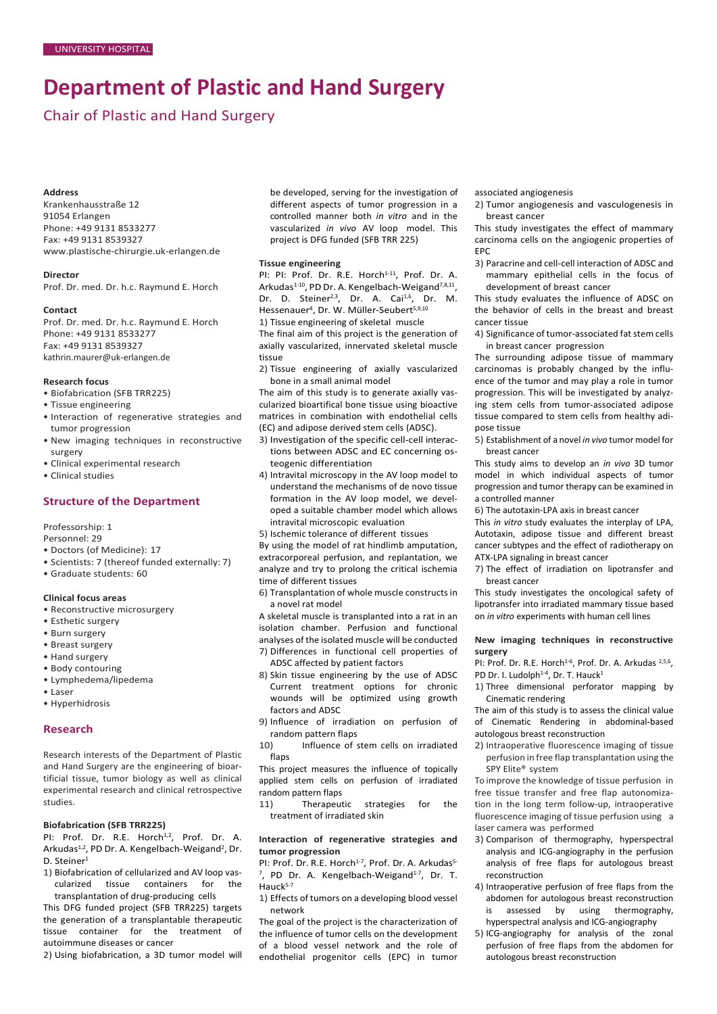# **Department of Plastic and Hand Surgery**

Chair of Plastic and Hand Surgery

# **Address**

Krankenhausstraße 12 91054 Erlangen Phone: +49 9131 8533277 Fax: +49 9131 8539327 [www.plastische-chirurgie.uk-erlangen.de](http://www.plastische-chirurgie.uk-erlangen.de/)

#### **Director**

Prof. Dr. med. Dr. h.c. Raymund E. Horch

## **Contact**

Prof. Dr. med. Dr. h.c. Raymund E. Horch Phone: +49 9131 8533277 Fax: +49 9131 8539327 [kathrin.maurer@uk-erlangen.de](mailto:kathrin.maurer@uk-erlangen.de)

## **Research focus**

- Biofabrication (SFB TRR225)
- Tissue engineering
- Interaction of regenerative strategies and tumor progression
- New imaging techniques in reconstructive surgery
- Clinical experimental research
- Clinical studies

# **Structure of the Department**

Professorship: 1

- Personnel: 29
- Doctors (of Medicine): 17
- Scientists: 7 (thereof funded externally: 7)
- Graduate students: 60

# **Clinical focus areas**

- Reconstructive microsurgery
- Esthetic surgery
- Burn surgery
- Breast surgery
- Hand surgery
- Body contouring
- Lymphedema/lipedema
- Laser
- Hyperhidrosis

## **Research**

Research interests of the Department of Plastic and Hand Surgery are the engineering of bioartificial tissue, tumor biology as well as clinical experimental research and clinical retrospective studies.

# **Biofabrication (SFB TRR225)**

PI: Prof. Dr. R.E. Horch<sup>1,2</sup>, Prof. Dr. A. Arkudas<sup>1,2</sup>, PD Dr. A. Kengelbach-Weigand<sup>2</sup>, Dr. D. Steiner<sup>1</sup>

1) Biofabrication of cellularized and AV loop vascularized tissue containers for the transplantation of drug-producing cells

This DFG funded project (SFB TRR225) targets the generation of a transplantable therapeutic tissue container for the treatment of autoimmune diseases or cancer

2) Using biofabrication, a 3D tumor model will

be developed, serving for the investigation of different aspects of tumor progression in a controlled manner both *in vitro* and in the vascularized *in vivo* AV loop model. This project is DFG funded (SFB TRR 225)

#### **Tissue engineering**

PI: PI: Prof. Dr. R.E. Horch<sup>1-11</sup>, Prof. Dr. A. Arkudas<sup>1-10</sup>, PD Dr. A. Kengelbach-Weigand<sup>7,8,11</sup>, Dr. D. Steiner<sup>2,3</sup>, Dr. A. Cai<sup>1,6</sup>, Dr. M. Hessenauer<sup>4</sup>, Dr. W. Müller-Seubert<sup>5,9,10</sup>

1) Tissue engineering of skeletal muscle

The final aim of this project is the generation of axially vascularized, innervated skeletal muscle tissue

2) Tissue engineering of axially vascularized bone in a small animal model

The aim of this study is to generate axially vascularized bioartifical bone tissue using bioactive matrices in combination with endothelial cells (EC) and adipose derived stem cells (ADSC).

- 3) Investigation of the specific cell-cell interactions between ADSC and EC concerning osteogenic differentiation
- 4) Intravital microscopy in the AV loop model to understand the mechanisms of de novo tissue formation in the AV loop model, we developed a suitable chamber model which allows intravital microscopic evaluation
- 5) Ischemic tolerance of different tissues

By using the model of rat hindlimb amputation, extracorporeal perfusion, and replantation, we analyze and try to prolong the critical ischemia time of different tissues

6) Transplantation of whole muscle constructs in a novel rat model

A skeletal muscle is transplanted into a rat in an isolation chamber. Perfusion and functional analyses of the isolated muscle will be conducted 7) Differences in functional cell properties of

- ADSC affected by patient factors
- 8) Skin tissue engineering by the use of ADSC Current treatment options for chronic wounds will be optimized using growth factors and ADSC
- 9) Influence of irradiation on perfusion of random pattern flaps
- 10) Influence of stem cells on irradiated flaps

This project measures the influence of topically applied stem cells on perfusion of irradiated random pattern flaps

11) Therapeutic strategies for the treatment of irradiated skin

# **Interaction of regenerative strategies and tumor progression**

PI: Prof. Dr. R.E. Horch<sup>1-7</sup>, Prof. Dr. A. Arkudas<sup>5.</sup>  $^7$ , PD Dr. A. Kengelbach-Weigand $^{1-7}$ , Dr. T. Hauck<sup>5-7</sup>

1) Effects of tumors on a developing blood vessel network

The goal of the project is the characterization of the influence of tumor cells on the development of a blood vessel network and the role of endothelial progenitor cells (EPC) in tumor associated angiogenesis

2) Tumor angiogenesis and vasculogenesis in breast cancer

This study investigates the effect of mammary carcinoma cells on the angiogenic properties of EPC

3) Paracrine and cell-cell interaction of ADSC and mammary epithelial cells in the focus of development of breast cancer

This study evaluates the influence of ADSC on the behavior of cells in the breast and breast cancer tissue

4) Significance of tumor-associated fat stem cells in breast cancer progression

The surrounding adipose tissue of mammary carcinomas is probably changed by the influence of the tumor and may play a role in tumor progression. This will be investigated by analyzing stem cells from tumor-associated adipose tissue compared to stem cells from healthy adipose tissue

5) Establishment of a novel *in vivo* tumor model for breast cancer

This study aims to develop an *in vivo* 3D tumor model in which individual aspects of tumor progression and tumor therapy can be examined in a controlled manner

6) The autotaxin-LPA axis in breast cancer

This *in vitro* study evaluates the interplay of LPA, Autotaxin, adipose tissue and different breast cancer subtypes and the effect of radiotherapy on ATX-LPA signaling in breast cancer

7) The effect of irradiation on lipotransfer and breast cancer

This study investigates the oncological safety of lipotransfer into irradiated mammary tissue based on *in vitro* experiments with human cell lines

# **New imaging techniques in reconstructive surgery**

PI: Prof. Dr. R.E. Horch<sup>1-6</sup>, Prof. Dr. A. Arkudas  $2,5,6$ , PD Dr. I. Ludolph<sup>1-4</sup>, Dr. T. Hauck<sup>1</sup>

- 1) Three dimensional perforator mapping by Cinematic rendering
- The aim of this study is to assess the clinical value of Cinematic Rendering in abdominal-based autologous breast reconstruction
- 2) Intraoperative fluorescence imaging of tissue perfusion in free flap transplantation using the SPY Elite® system

To improve the knowledge of tissue perfusion in free tissue transfer and free flap autonomization in the long term follow-up, intraoperative fluorescence imaging of tissue perfusion using a laser camera was performed

- 3) Comparison of thermography, hyperspectral analysis and ICG-angiography in the perfusion analysis of free flaps for autologous breast reconstruction
- 4) Intraoperative perfusion of free flaps from the abdomen for autologous breast reconstruction is assessed by using thermography, hyperspectral analysis and ICG-angiography
- 5) ICG-angiography for analysis of the zonal perfusion of free flaps from the abdomen for autologous breast reconstruction